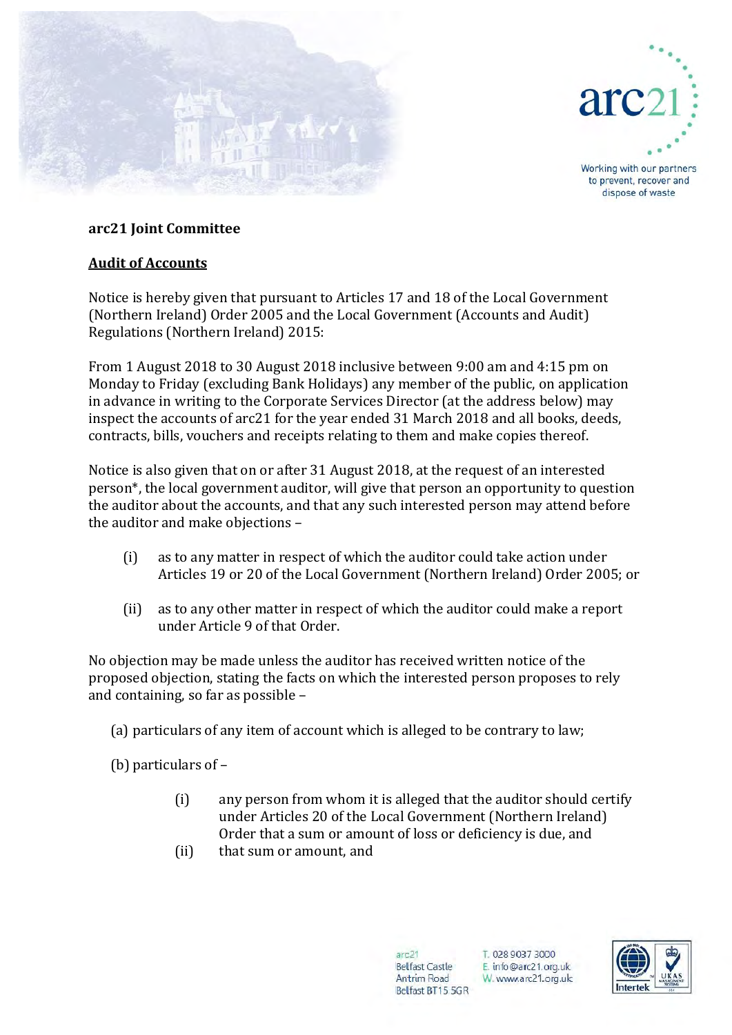



Working with our partners to prevent, recover and dispose of waste

## **arc21 Joint Committee**

## **Audit of Accounts**

Notice is hereby given that pursuant to Articles 17 and 18 of the Local Government (Northern Ireland) Order 2005 and the Local Government (Accounts and Audit) Regulations (Northern Ireland) 2015:

From 1 August 2018 to 30 August 2018 inclusive between 9:00 am and 4:15 pm on Monday to Friday (excluding Bank Holidays) any member of the public, on application in advance in writing to the Corporate Services Director (at the address below) may inspect the accounts of arc21 for the year ended 31 March 2018 and all books, deeds, contracts, bills, vouchers and receipts relating to them and make copies thereof.

Notice is also given that on or after 31 August 2018, at the request of an interested person\*, the local government auditor, will give that person an opportunity to question the auditor about the accounts, and that any such interested person may attend before the auditor and make objections –

- (i) as to any matter in respect of which the auditor could take action under Articles 19 or 20 of the Local Government (Northern Ireland) Order 2005; or
- (ii) as to any other matter in respect of which the auditor could make a report under Article 9 of that Order.

No objection may be made unless the auditor has received written notice of the proposed objection, stating the facts on which the interested person proposes to rely and containing, so far as possible –

(a) particulars of any item of account which is alleged to be contrary to law;

(b) particulars of –

- (i) any person from whom it is alleged that the auditor should certify under Articles 20 of the Local Government (Northern Ireland) Order that a sum or amount of loss or deficiency is due, and
- (ii) that sum or amount, and

 $arc21$ **Belfast Castle** Antrim Road Belfast BT15 5GR

T. 028 9037 3000 E. info@arc21.org.uk W. www.arc21.org.uk